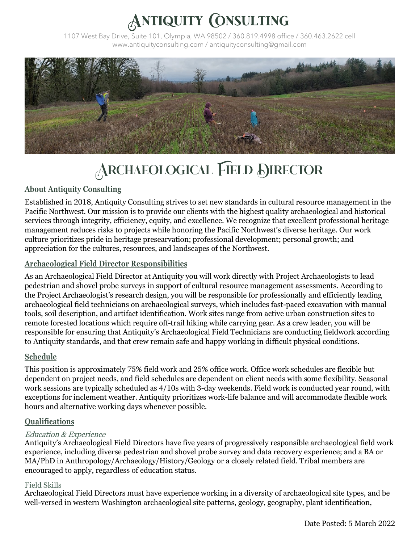# NTIQUITY CONSULTING

1107 West Bay Drive, Suite 101, Olympia, WA 98502 / 360.819.4998 office / 360.463.2622 cell www.antiquityconsulting.com / antiquityconsulting@gmail.com



# ARCHAEOLOGICAL FIELD DIRECTOR

## **About Antiquity Consulting**

Established in 2018, Antiquity Consulting strives to set new standards in cultural resource management in the Pacific Northwest. Our mission is to provide our clients with the highest quality archaeological and historical services through integrity, efficiency, equity, and excellence. We recognize that excellent professional heritage management reduces risks to projects while honoring the Pacific Northwest's diverse heritage. Our work culture prioritizes pride in heritage presearvation; professional development; personal growth; and appreciation for the cultures, resources, and landscapes of the Northwest.

### **Archaeological Field Director Responsibilities**

As an Archaeological Field Director at Antiquity you will work directly with Project Archaeologists to lead pedestrian and shovel probe surveys in support of cultural resource management assessments. According to the Project Archaeologist's research design, you will be responsible for professionally and efficiently leading archaeological field technicians on archaeological surveys, which includes fast-paced excavation with manual tools, soil description, and artifact identification. Work sites range from active urban construction sites to remote forested locations which require off-trail hiking while carrying gear. As a crew leader, you will be responsible for ensuring that Antiquity's Archaeological Field Technicians are conducting fieldwork according to Antiquity standards, and that crew remain safe and happy working in difficult physical conditions.

#### **Schedule**

This position is approximately 75% field work and 25% office work. Office work schedules are flexible but dependent on project needs, and field schedules are dependent on client needs with some flexibility. Seasonal work sessions are typically scheduled as 4/10s with 3-day weekends. Field work is conducted year round, with exceptions for inclement weather. Antiquity prioritizes work-life balance and will accommodate flexible work hours and alternative working days whenever possible.

## **Qualifications**

#### Education & Experience

Antiquity's Archaeological Field Directors have five years of progressively responsible archaeological field work experience, including diverse pedestrian and shovel probe survey and data recovery experience; and a BA or MA/PhD in Anthropology/Archaeology/History/Geology or a closely related field. Tribal members are encouraged to apply, regardless of education status.

#### Field Skills

Archaeological Field Directors must have experience working in a diversity of archaeological site types, and be well-versed in western Washington archaeological site patterns, geology, geography, plant identification,